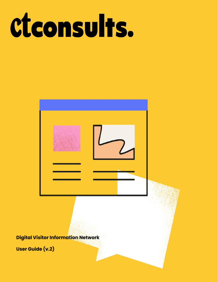# ctconsults.



**Digital Visitor Information Network** 

User Guide (v.2)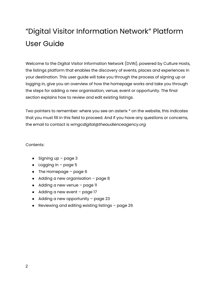# "Digital Visitor Information Network" Platform User Guide

Welcome to the Digital Visitor Information Network (DVIN), powered by Culture Hosts, the listings platform that enables the discovery of events, places and experiences in your destination. This user guide will take you through the process of signing up or logging in, give you an overview of how the homepage works and take you through the steps for adding a new organisation, venue, event or opportunity. The final section explains how to review and edit existing listings.

Two pointers to remember: where you see an asterix \* on the website, this indicates that you must fill in this field to proceed. And if you have any questions or concerns, the email to contact is *wmgcdigital@theaudienceagency.org*

#### Contents:

- Signing up  $-$  page 3
- $\bullet$  Logging in page 5
- $\bullet$  The Homepage page 6
- $\bullet$  Adding a new organisation page 8
- Adding a new venue page II
- Adding a new event page 17
- Adding a new opportunity page 23
- Reviewing and editing existing listings page 26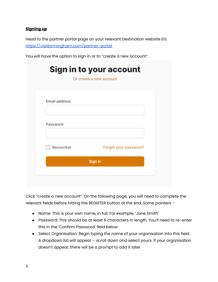# **Signing up**

Head to the partner portal page on your relevant Destination website EG. <https://visitbirmingham.com/partner-portal>

You will have the option to sign in or to "create a new account".

|                      | Or create a new account |
|----------------------|-------------------------|
| <b>Email address</b> |                         |
| Password             |                         |
| Remember             | Forgot your password?   |
|                      | Sign in                 |

Click "create a new account". On the following page, you will need to complete the relevant fields before hitting the REGISTER button at the end. Some pointers –

- Name: This is your own name, in full. For example, 'Jane Smith'
- Password: This should be at least 6 characters in length. You'll need to re-enter this in the 'Confirm Password' field below
- Select Organisation: Begin typing the name of your organisation into this field. A dropdown list will appear – scroll down and select yours. If your organisation doesn't appear, there will be a prompt to add it later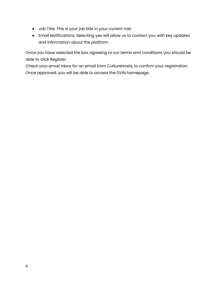- Job Title: This is your job title in your current role
- Email Notifications: Selecting yes will allow us to contact you with key updates and information about the platform

Once you have selected the box agreeing to our terms and conditions you should be able to click *Register*.

Check your email inbox for an email from CultureHosts, to confirm your registration. Once approved, you will be able to access the DVIN homepage.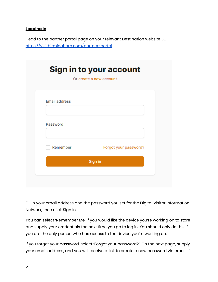# **Logging in**

Head to the partner portal page on your relevant Destination website EG. <https://visitbirmingham.com/partner-portal>

|                      | Or create a new account |
|----------------------|-------------------------|
| <b>Email address</b> |                         |
| Password             |                         |
| Remember             | Forgot your password?   |
|                      | Sign in                 |

Fill in your email address and the password you set for the Digital Visitor Information Network, then click Sign In.

You can select 'Remember Me' if you would like the device you're working on to store and supply your credentials the next time you go to log in. You should only do this if you are the only person who has access to the device you're working on.

If you forget your password, select 'Forgot your password?'. On the next page, supply your email address, and you will receive a link to create a new password via email. If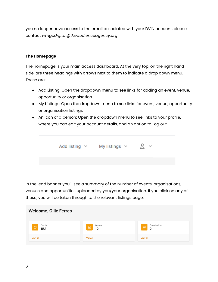you no longer have access to the email associated with your DVIN account, please contact *wmgcdigital@theaudienceagency.org*

#### **The Homepage**

The homepage is your main access dashboard. At the very top, on the right hand side, are three headings with arrows next to them to indicate a drop down menu. These are:

- Add Listing: Open the dropdown menu to see links for adding an event, venue, opportunity or organisation
- My Listings: Open the dropdown menu to see links for event, venue, opportunity or organisation listings
- An icon of a person: Open the dropdown menu to see links to your profile, where you can edit your account details, and an option to Log out.



In the lead banner you'll see a summary of the number of events, organisations, venues and opportunities uploaded by you/your organisation. If you click on any of these, you will be taken through to the relevant listings page.

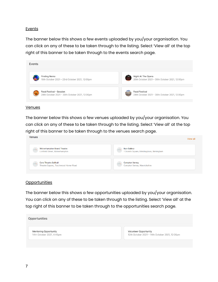#### **Events**

The banner below this shows a few events uploaded by you/your organisation. You can click on any of these to be taken through to the listing. Select 'View all' at the top right of this banner to be taken through to the events search page.



#### **Venues**

 $V_{\text{ODUOS}}$ 

The banner below this shows a few venues uploaded by you/your organisation. You can click on any of these to be taken through to the listing. Select 'View all' at the top right of this banner to be taken through to the venues search page.

| <b>VEHUES</b>                                                                   | View all                                                           |
|---------------------------------------------------------------------------------|--------------------------------------------------------------------|
| <b>Wolverhampton Grand Theatre</b><br>Lichfield Street, Wolverhampton           | <b>Ikon Gallery</b><br>1 Oozells Square, Brindleyplace, Birmingham |
| <b>Core Theatre Solihull</b><br>$\sim$<br>Theatre Square,, Touchwood Homer Road | <b>Compton Verney</b><br>Compton Verney, Warwickshire              |

#### **Opportunities**

The banner below this shows a few opportunities uploaded by you/your organisation. You can click on any of these to be taken through to the listing. Select 'View all' at the top right of this banner to be taken through to the opportunities search page.

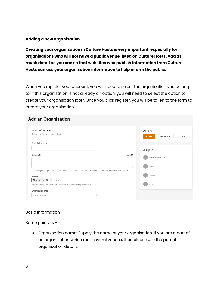#### **Adding a new organisation**

**Creating your organisation in Culture Hosts is very important, especially for organisations who will not have a public venue listed on Culture Hosts. Add as much detail as you can so that websites who publish information from Culture Hosts can use your organisation information to help inform the public.**

When you register your account, you will need to select the organisation you belong to. If this organisation is not already an option, you will need to select the option to create your organisation later. Once you click register, you will be taken to the form to create your organisation.

# **Add an Organisation**

| <b>Basic information</b><br>Set up and illustrate your listing.                                                                                                         | Actions<br>Publish<br>Save as draft<br>Discard |
|-------------------------------------------------------------------------------------------------------------------------------------------------------------------------|------------------------------------------------|
| Organistion name                                                                                                                                                        | Jump to                                        |
| 0/250<br>Description                                                                                                                                                    | Basic information<br>Who                       |
| Describe your opportunity. Try to avoid "arts speak" and don't include web links (add one below instead).<br>Images<br>Choose file No file chosen                       | Where<br>How                                   |
| Add an image. Try to use one that are is at least 800 pixels wide<br>Organisation type *<br>Select an item<br>$\overline{\phantom{a}}$<br>Chassa the see that hast fits |                                                |

#### Basic Information

Some pointers –

● Organisation name: Supply the name of your organisation. If you are a part of an organisation which runs several venues, then please use the parent organisation details.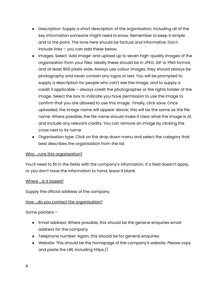- Description: Supply a short description of the organisation, including all of the key information someone might need to know. Remember to keep it simple and to the point. The tone here should be factual and informative. Don't include links – you can add these below.
- Images: Select 'Add Image' and upload up to seven high-quality images of the organisation from your files. Ideally these should be in JPEG, GIF or PNG format, and at least 800 pixels wide. Always use colour images, they should always be photography and never contain any logos or text. You will be prompted to supply a description for people who can't see the image, and to supply a credit if applicable – always credit the photographer or the rights holder of the image. Select the box to indicate you have permission to use the image to confirm that you are allowed to use this image. Finally, click save. Once uploaded, the image name will appear above; this will be the same as the file name. Where possible, the file name should make it clear what the image is of, and include any relevant credits. You can remove an image by clicking the cross next to its name
- Organisation type: Click on the drop down menu and select the category that best describes the organisation from the list.

#### Who ...runs this organisation?

You'll need to fill in the fields with the company's information. If a field doesn't apply, or you don't have the information to hand, leave it blank.

#### Where ...is it based?

Supply the official address of the company.

# How ...do you contact the organisation?

Some pointers –

- Email address: Where possible, this should be the general enquiries email address for the company
- Telephone number: Again, this should be for general enquiries
- Website: This should be the homepage of the company's website. Please copy and paste the URL including https://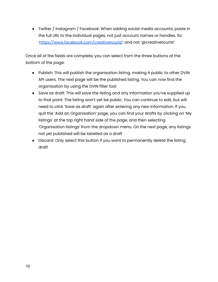● Twitter / Instagram / Facebook: When adding social media accounts, paste in the full URL to the individual pages, not just account names or handles. So ['https://www.facebook.com/creativetourist](https://www.facebook.com/creativetourist)' and not '@creativetourist'

Once all of the fields are complete, you can select from the three buttons at the bottom of the page:

- Publish: This will publish the organisation listing, making it public to other DVIN API users. The next page will be the published listing. You can now find the organisation by using the DVIN filter tool
- Save as draft: This will save the listing and any information you've supplied up to that point. The listing won't yet be public. You can continue to edit, but will need to click 'Save as draft' again after entering any new information. If you quit the 'Add an Organisation' page, you can find your drafts by clicking on 'My listings' at the top right hand side of the page, and then selecting 'Organisation listings' from the dropdown menu. On the next page, any listings not yet published will be labelled as a draft
- Discard: Only select this button if you want to permanently delete the listing draft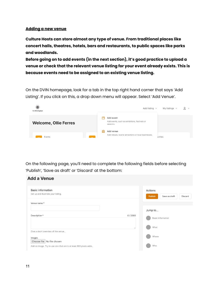#### **Adding a new venue**

**Culture Hosts can store almost any type of venue. From traditional places like concert halls, theatres, hotels, bars and restaurants, to public spaces like parks and woodlands.**

**Before going on to add events (in the next section), it's good practice to upload a venue or check that the relevant venue listing for your event already exists. This is because events need to be assigned to an existing venue listing.**

On the DVIN homepage, look for a tab in the top right hand corner that says 'Add Listing'. If you click on this, a drop down menu will appear. Select 'Add Venue'.



On the following page, you'll need to complete the following fields before selecting 'Publish', 'Save as draft' or 'Discard' at the bottom:

| <b>Add a Venue</b>                                                           |        |                                                |
|------------------------------------------------------------------------------|--------|------------------------------------------------|
| Basic information<br>Set up and illustrate your listing.                     |        | Actions<br>Publish<br>Save as draft<br>Discard |
| Venue name *                                                                 |        | Jump to                                        |
| Description *                                                                | 0/2000 | <b>Basic information</b><br>What               |
| Give a short overview of the venue<br>Images<br>Choose file   No file chosen |        | Where                                          |
| Add an image. Try to use one that are is at least 800 pixels wide            |        | Who                                            |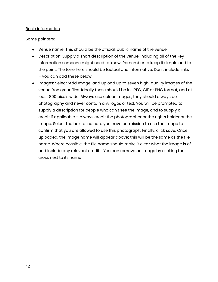#### Basic information

#### Some pointers:

- Venue name: This should be the official, public name of the venue
- Description: Supply a short description of the venue, including all of the key information someone might need to know. Remember to keep it simple and to the point. The tone here should be factual and informative. Don't include links – you can add these below
- Images: Select 'Add Image' and upload up to seven high-quality images of the venue from your files. Ideally these should be in JPEG, GIF or PNG format, and at least 800 pixels wide. Always use colour images, they should always be photography and never contain any logos or text. You will be prompted to supply a description for people who can't see the image, and to supply a credit if applicable – always credit the photographer or the rights holder of the image. Select the box to indicate you have permission to use the image to confirm that you are allowed to use this photograph. Finally, click save. Once uploaded, the image name will appear above; this will be the same as the file name. Where possible, the file name should make it clear what the image is of, and include any relevant credits. You can remove an image by clicking the cross next to its name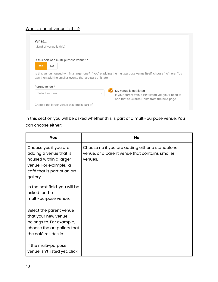# What ...kind of venue is this?

| What<br>kind of venue is this?                                                                                              |                                                                                                                                                              |
|-----------------------------------------------------------------------------------------------------------------------------|--------------------------------------------------------------------------------------------------------------------------------------------------------------|
| Is this part of a multi-purpose venue? *<br><b>Yes</b><br>No.<br>can then add the smaller events that are part of it later. | Is this venue housed within a larger one? If you're adding the multipurpose venue itself, choose 'no' here. You                                              |
| Parent venue *                                                                                                              |                                                                                                                                                              |
| Select an item                                                                                                              | My venue is not listed<br>$\overline{\phantom{a}}$<br>If your parent venue isn't listed yet, you'll need to<br>add that to Culture Hosts from the next page. |
| Choose the larger venue this one is part of.                                                                                |                                                                                                                                                              |

In this section you will be asked whether this is part of a multi-purpose venue. You can choose either:

| <b>Yes</b>                                                                                                                                    | <b>No</b>                                                                                                    |
|-----------------------------------------------------------------------------------------------------------------------------------------------|--------------------------------------------------------------------------------------------------------------|
| Choose yes if you are<br>adding a venue that is<br>housed within a larger<br>venue. For example, a<br>café that is part of an art<br>gallery. | Choose no if you are adding either a standalone<br>venue, or a parent venue that contains smaller<br>venues. |
| In the next field, you will be<br>asked for the<br>multi-purpose venue.                                                                       |                                                                                                              |
| Select the parent venue<br>that your new venue<br>belongs to. For example,<br>choose the art gallery that<br>the café resides in.             |                                                                                                              |
| If the multi-purpose<br>venue isn't listed yet, click                                                                                         |                                                                                                              |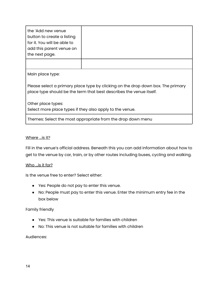| the 'Add new venue<br>button to create a listing<br>for it. You will be able to<br>add this parent venue on<br>the next page. |  |  |
|-------------------------------------------------------------------------------------------------------------------------------|--|--|
| Main place type:                                                                                                              |  |  |

Please select a primary place type by clicking on the drop down box. The primary place type should be the term that best describes the venue itself.

Other place types:

Select more place types if they also apply to the venue.

Themes: Select the most appropriate from the drop down menu

#### Where ... is it?

Fill in the venue's official address. Beneath this you can add information about how to get to the venue by car, train, or by other routes including buses, cycling and walking.

#### Who ...is it for?

Is the venue free to enter? Select either:

- Yes: People do not pay to enter this venue.
- No: People must pay to enter this venue. Enter the minimum entry fee in the box below

#### Family friendly

- Yes: This venue is suitable for families with children
- No: This venue is not suitable for families with children

Audiences: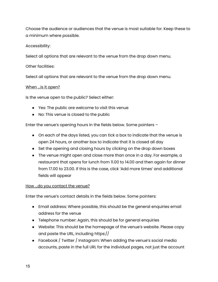Choose the audience or audiences that the venue is most suitable for. Keep these to a minimum where possible.

# Accessibility:

Select all options that are relevant to the venue from the drop down menu.

Other facilities:

Select all options that are relevant to the venue from the drop down menu.

#### When ...is it open?

Is the venue open to the public? Select either:

- Yes: The public are welcome to visit this venue
- No: This venue is closed to the public

Enter the venue's opening hours in the fields below. Some pointers –

- On each of the days listed, you can tick a box to indicate that the venue is open 24 hours, or another box to indicate that it is closed all day
- Set the opening and closing hours by clicking on the drop down boxes
- The venue might open and close more than once in a day. For example, a restaurant that opens for lunch from 11.00 to 14.00 and then again for dinner from 17.00 to 23.00. If this is the case, click 'Add more times' and additional fields will appear

#### How ... do you contact the venue?

Enter the venue's contact details in the fields below. Some pointers:

- Email address: Where possible, this should be the general enquiries email address for the venue
- Telephone number: Again, this should be for general enquiries
- Website: This should be the homepage of the venue's website. Please copy and paste the URL, including https://
- Facebook  $/$  Twitter  $/$  Instagram: When adding the venue's social media accounts, paste in the full URL for the individual pages, not just the account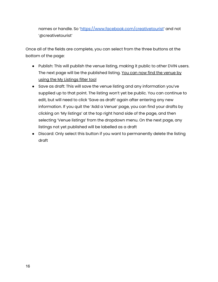names or handle. So '[https://www.facebook.com/creativetourist'](https://www.facebook.com/creativetourist) and not '@creativetourist'

Once all of the fields are complete, you can select from the three buttons at the bottom of the page:

- Publish: This will publish the venue listing, making it public to other DVIN users. The next page will be the published listing. You can now find the venue by using the My Listings filter tool
- Save as draft: This will save the venue listing and any information you've supplied up to that point. The listing won't yet be public. You can continue to edit, but will need to click 'Save as draft' again after entering any new information. If you quit the 'Add a Venue' page, you can find your drafts by clicking on 'My listings' at the top right hand side of the page, and then selecting 'Venue listings' from the dropdown menu. On the next page, any listings not yet published will be labelled as a draft
- Discard: Only select this button if you want to permanently delete the listing draft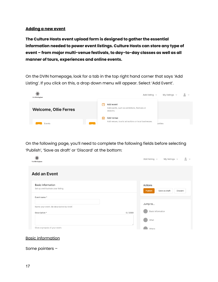#### **Adding a new event**

**The Culture Hosts event upload form is designed to gather the essential information needed to power event listings. Culture Hosts can store any type of event – from major multi-venue festivals, to day-to-day classes as well as all manner of tours, experiences and online events.**

On the DVIN homepage, look for a tab in the top right hand corner that says 'Add Listing'. If you click on this, a drop down menu will appear. Select 'Add Event'.



On the following page, you'll need to complete the following fields before selecting 'Publish', 'Save as draft' or 'Discard' at the bottom:

| Visit Birmingham                                                | $8^{\circ}$<br>Add listing $\sim$<br>My listings $\sim$ |
|-----------------------------------------------------------------|---------------------------------------------------------|
| <b>Add an Event</b>                                             |                                                         |
| <b>Basic information</b><br>Set up and illustrate your listing. | Actions<br>Save as draft<br><b>Publish</b><br>Discard   |
| Event name*<br>Name your event. Be descriptive but brief.       | Jump to                                                 |
| Description *                                                   | Basic information<br>0/2000<br>What<br>//               |
| Give a synopsis of your event.                                  | Where                                                   |

#### Basic information

Some pointers –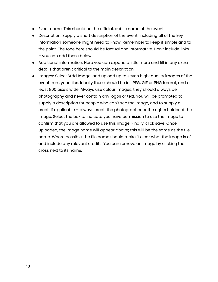- Event name: This should be the official, public name of the event
- Description: Supply a short description of the event, including all of the key information someone might need to know. Remember to keep it simple and to the point. The tone here should be factual and informative. Don't include links – you can add these below
- Additional information: Here you can expand a little more and fill in any extra details that aren't critical to the main description
- Images: Select 'Add Image' and upload up to seven high-quality images of the event from your files. Ideally these should be in JPEG, GIF or PNG format, and at least 800 pixels wide. Always use colour images, they should always be photography and never contain any logos or text. You will be prompted to supply a description for people who can't see the image, and to supply a credit if applicable – always credit the photographer or the rights holder of the image. Select the box to indicate you have permission to use the image to confirm that you are allowed to use this image. Finally, click save. Once uploaded, the image name will appear above; this will be the same as the file name. Where possible, the file name should make it clear what the image is of, and include any relevant credits. You can remove an image by clicking the cross next to its name.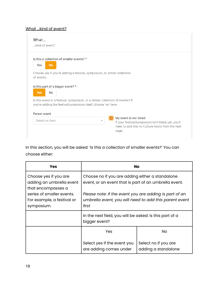# What ...kind of event?

| What<br>kind of event?                                                                                                                                          |                          |                                                                                                                                           |
|-----------------------------------------------------------------------------------------------------------------------------------------------------------------|--------------------------|-------------------------------------------------------------------------------------------------------------------------------------------|
| Is this a collection of smaller events? *<br>Yes<br><b>No</b>                                                                                                   |                          |                                                                                                                                           |
| Choose yes if you're adding a festival, symposium, or similar collection<br>of events.                                                                          |                          |                                                                                                                                           |
| Is this part of a bigger event? *<br>Yes<br>No                                                                                                                  |                          |                                                                                                                                           |
| Is this event in a festival, symposium, or a similar collection of events? If<br>you're adding the festival/symposium itself, choose 'no' here.<br>Parent event |                          |                                                                                                                                           |
| Select an item                                                                                                                                                  | $\overline{\phantom{a}}$ | My event is not listed<br>If your festival/symposium isn't listed yet, you'll<br>need to add that to Culture Hosts from the next<br>page. |

In this section, you will be asked: 'Is this a collection of smaller events?' You can choose either:

| <b>Yes</b>                                                              | <b>No</b>                                                                                                                 |                                             |  |
|-------------------------------------------------------------------------|---------------------------------------------------------------------------------------------------------------------------|---------------------------------------------|--|
| Choose yes if you are<br>adding an umbrella event<br>that encompasses a | Choose no if you are adding either a standalone<br>event, or an event that is part of an umbrella event.                  |                                             |  |
| series of smaller events.<br>For example, a festival or<br>symposium.   | Please note: If the event you are adding is part of an<br>umbrella event, you will need to add this parent event<br>first |                                             |  |
|                                                                         | In the next field, you will be asked: Is this part of a<br>bigger event?                                                  |                                             |  |
|                                                                         | Yes                                                                                                                       | No                                          |  |
|                                                                         | Select yes if the event you<br>are adding comes under                                                                     | Select no if you are<br>adding a standalone |  |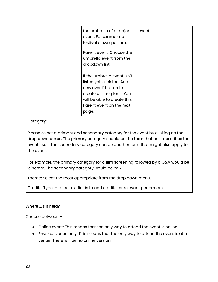| the umbrella of a major<br>event. For example, a<br>festival or symposium.                                                                                                            | event. |
|---------------------------------------------------------------------------------------------------------------------------------------------------------------------------------------|--------|
| Parent event: Choose the<br>umbrella event from the<br>dropdown list.                                                                                                                 |        |
| If the umbrella event isn't<br>listed yet, click the 'Add<br>new event' button to<br>create a listing for it. You<br>will be able to create this<br>Parent event on the next<br>page. |        |

Category:

Please select a primary and secondary category for the event by clicking on the drop down boxes. The primary category should be the term that best describes the event itself. The secondary category can be another term that might also apply to the event.

For example, the primary category for a film screening followed by a Q&A would be 'cinema'. The secondary category would be 'talk'.

Theme: Select the most appropriate from the drop down menu.

Credits: Type into the text fields to add credits for relevant performers

# Where ...is it held?

Choose between –

- Online event: This means that the only way to attend the event is online
- Physical venue only: This means that the only way to attend the event is at a venue. There will be no online version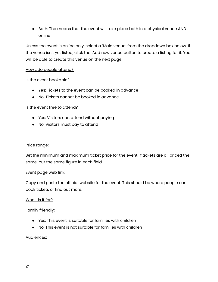● Both: The means that the event will take place both in a physical venue AND online

Unless the event is online only, select a 'Main venue' from the dropdown box below. If the venue isn't yet listed, click the 'Add new venue button to create a listing for it. You will be able to create this venue on the next page.

#### How ...do people attend?

Is the event bookable?

- Yes: Tickets to the event can be booked in advance
- No: Tickets cannot be booked in advance

Is the event free to attend?

- Yes: Visitors can attend without paying
- No: Visitors must pay to attend

#### Price range:

Set the minimum and maximum ticket price for the event. If tickets are all priced the same, put the same figure in each field.

Event page web link:

Copy and paste the official website for the event. This should be where people can book tickets or find out more.

#### Who ...is it for?

Family friendly:

- Yes: This event is suitable for families with children
- No: This event is not suitable for families with children

Audiences: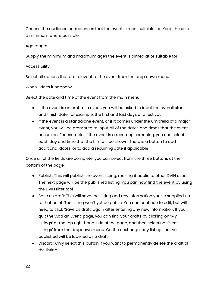Choose the audience or audiences that the event is most suitable for. Keep these to a minimum where possible.

# Age range:

Supply the minimum and maximum ages the event is aimed at or suitable for.

# Accessibility:

Select all options that are relevant to the event from the drop down menu.

#### When ...does it happen?

Select the date and time of the event from the main menu.

- If the event is an umbrella event, you will be asked to input the overall start and finish date, for example: the first and last days of a festival.
- If the event is a standalone event, or if it comes under the umbrella of a major event, you will be prompted to input all of the dates and times that the event occurs on. For example, if the event is a recurring screening, you can select each day and time that the film will be shown. There is a button to add additional dates, or to add a recurring date if applicable

Once all of the fields are complete, you can select from the three buttons at the bottom of the page:

- Publish: This will publish the event listing, making it public to other DVIN users. The next page will be the published listing. You can now find the event by using the DVIN filter tool
- Save as draft: This will save the listing and any information you've supplied up to that point. The listing won't yet be public. You can continue to edit, but will need to click 'Save as draft' again after entering any new information. If you quit the 'Add an Event' page, you can find your drafts by clicking on 'My listings' at the top right hand side of the page, and then selecting 'Event listings' from the dropdown menu. On the next page, any listings not yet published will be labelled as a draft
- Discard: Only select this button if you want to permanently delete the draft of the listing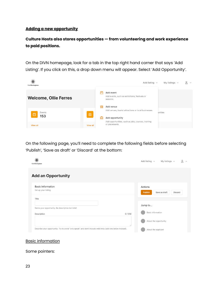#### **Adding a new opportunity**

# **Culture Hosts also stores opportunities — from volunteering and work experience to paid positions.**

On the DIVN homepage, look for a tab in the top right hand corner that says 'Add Listing'. If you click on this, a drop down menu will appear. Select 'Add Opportunity'.



On the following page, you'll need to complete the following fields before selecting 'Publish', 'Save as draft' or 'Discard' at the bottom:

| Visit Birmingham                                                                                          | å<br>Add listing $\sim$<br>My listings $\sim$         |
|-----------------------------------------------------------------------------------------------------------|-------------------------------------------------------|
| <b>Add an Opportunity</b>                                                                                 |                                                       |
| <b>Basic information</b><br>Set up your listing.                                                          | Actions<br><b>Publish</b><br>Save as draft<br>Discard |
| Title<br>Name your opportunity. Be descriptive but brief.                                                 | Jump to                                               |
| Description                                                                                               | Basic information<br>0/250<br>About the opportunity   |
| Describe your opportunity. Try to avoid "arts speak" and don't include web links (add one below instead). | About the applicant                                   |

#### Basic information

Some pointers: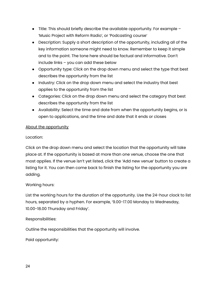- Title: This should briefly describe the available opportunity. For example 'Music Project with Reform Radio', or 'Podcasting course'
- Description: Supply a short description of the opportunity, including all of the key information someone might need to know. Remember to keep it simple and to the point. The tone here should be factual and informative. Don't include links – you can add these below
- Opportunity type: Click on the drop down menu and select the type that best describes the opportunity from the list
- Industry: Click on the drop down menu and select the industry that best applies to the opportunity from the list
- Categories: Click on the drop down menu and select the category that best describes the opportunity from the list
- Availability: Select the time and date from when the opportunity begins, or is open to applications, and the time and date that it ends or closes

# About the opportunity

# Location:

Click on the drop down menu and select the location that the opportunity will take place at. If the opportunity is based at more than one venue, choose the one that most applies. If the venue isn't yet listed, click the 'Add new venue' button to create a listing for it. You can then come back to finish the listing for the opportunity you are adding.

# Working hours:

List the working hours for the duration of the opportunity. Use the 24-hour clock to list hours, separated by a hyphen. For example, '9.00-17.00 Monday to Wednesday, 10.00-18.00 Thursday and Friday'.

#### Responsibilities:

Outline the responsibilities that the opportunity will involve.

Paid opportunity: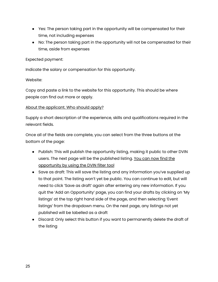- Yes: The person taking part in the opportunity will be compensated for their time, not including expenses
- No: The person taking part in the opportunity will not be compensated for their time, aside from expenses

#### Expected payment:

Indicate the salary or compensation for this opportunity.

# Website:

Copy and paste a link to the website for this opportunity. This should be where people can find out more or apply.

# About the applicant. Who should apply?

Supply a short description of the experience, skills and qualifications required in the relevant fields.

Once all of the fields are complete, you can select from the three buttons at the bottom of the page:

- Publish: This will publish the opportunity listing, making it public to other DVIN users. The next page will be the published listing. You can now find the opportunity by using the DVIN filter tool
- Save as draft: This will save the listing and any information you've supplied up to that point. The listing won't yet be public. You can continue to edit, but will need to click 'Save as draft' again after entering any new information. If you quit the 'Add an Opportunity' page, you can find your drafts by clicking on 'My listings' at the top right hand side of the page, and then selecting 'Event listings' from the dropdown menu. On the next page, any listings not yet published will be labelled as a draft
- Discard: Only select this button if you want to permanently delete the draft of the listing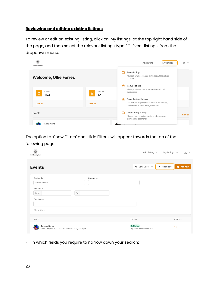# **Reviewing and editing existing listings**

To review or edit an existing listing, click on 'My listings' at the top right hand side of the page, and then select the relevant listings type EG 'Event listings' from the dropdown menu.



The option to 'Show Filters' and 'Hide Filters' will appear towards the top of the following page.

| Ö.<br>Visit Birmingham                                         |            | Add listing $\sim$                                           | $2^{\circ}$<br>My listings $\sim$ |
|----------------------------------------------------------------|------------|--------------------------------------------------------------|-----------------------------------|
| <b>Events</b>                                                  |            | $\overline{=}\uparrow$ Sort: Latest $\vee$<br>Q Hide filters | Add new                           |
| Destination                                                    | Categories |                                                              |                                   |
| Select an item                                                 |            |                                                              |                                   |
| Event date<br>From                                             | To         |                                                              |                                   |
| Event name                                                     |            |                                                              |                                   |
| Clear filters                                                  |            |                                                              |                                   |
| NAME                                                           |            | <b>STATUS</b>                                                | <b>ACTIONS</b>                    |
| Finding Nemo<br>16th October 2021 - 23rd October 2021, 12:00pm |            | Published<br>Updated 15th October 2021                       | Edit                              |

Fill in which fields you require to narrow down your search: